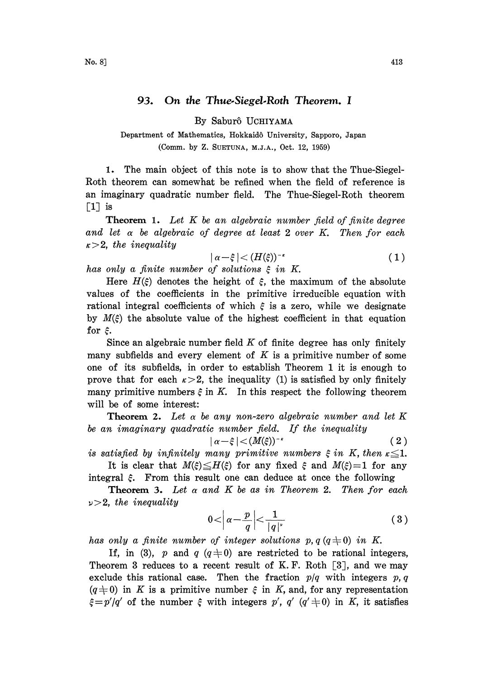## 93. On the Thue.Siegel.Roth Theorem. <sup>I</sup>

By Sabur5 UCHIYAMA

Department of Mathematics, Hokkaidô University, Sapporo, Japan (Comm. by Z. SUETUNA, M.J.A., Oct. 12, 1959)

1. The main object of this note is to show that the Thue-Siegel-Roth theorem can somewhat be refined when the field of reference is an imaginary quadratic number field. The Thue-Siegel-Roth theorem [I] is

**Theorem 1.** Let  $K$  be an algebraic number field of finite degree and let  $\alpha$  be algebraic of degree at least 2 over K. Then for each  $\kappa > 2$ , the inequality

$$
|\alpha-\xi| < (H(\xi))^{-\kappa} \tag{1}
$$

has only a finite number of solutions  $\xi$  in K.

Here  $H(\xi)$  denotes the height of  $\xi$ , the maximum of the absolute values of the coefficients in the primitive irreducible equation with rational integral coefficients of which  $\xi$  is a zero, while we designate by  $M(\xi)$  the absolute value of the highest coefficient in that equation for  $\xi$ .

Since an algebraic number field  $K$  of finite degree has only finitely many subfields and every element of  $K$  is a primitive number of some one of its subfields, in order to establish Theorem 1 it is enough to prove that for each  $\kappa > 2$ , the inequality (1) is satisfied by only finitely many primitive numbers  $\xi$  in K. In this respect the following theorem will be of some interest:

**Theorem 2.** Let  $\alpha$  be any non-zero algebraic number and let K be an imaginary quadratic number field. If the inequality

$$
|\alpha-\xi| < (M(\xi))^{-\kappa} \tag{2}
$$

is satisfied by infinitely many primitive numbers  $\xi$  in K, then  $\kappa \leq 1$ . It is clear that  $M(\xi) \leq H(\xi)$  for any fixed  $\xi$  and  $M(\xi)=1$  for any

integral  $\xi$ . From this result one can deduce at once the following

**Theorem 3.** Let  $\alpha$  and  $K$  be as in Theorem 2. Then for each  $\nu > 2$ , the inequality

$$
0 < \left| \alpha - \frac{p}{q} \right| < \frac{1}{|q|^{\nu}} \tag{3}
$$

has only a finite number of integer solutions p,  $q(q\pm 0)$  in K.

Theorem 5 reduces to a recent result of  $\mathbf{r}$ .  $\mathbf{r}$ ,  $\mathbf{r}$ ,  $\mathbf{r}$ ,  $\mathbf{r}$ , and we may exclude this rational case. Then the fraction  $p/q$  with integers  $p, q$ If, in (3), p and q  $(q\neq0)$  are restricted to be rational integers, Theorem 3 reduces to a recent result of K.F. Roth  $[3]$ , and we may  $(q\neq0)$  in K is a primitive number  $\xi$  in K, and, for any representation  $\xi = p'/q'$  of the number  $\xi$  with integers p', q'  $(q' \neq 0)$  in K, it satisfies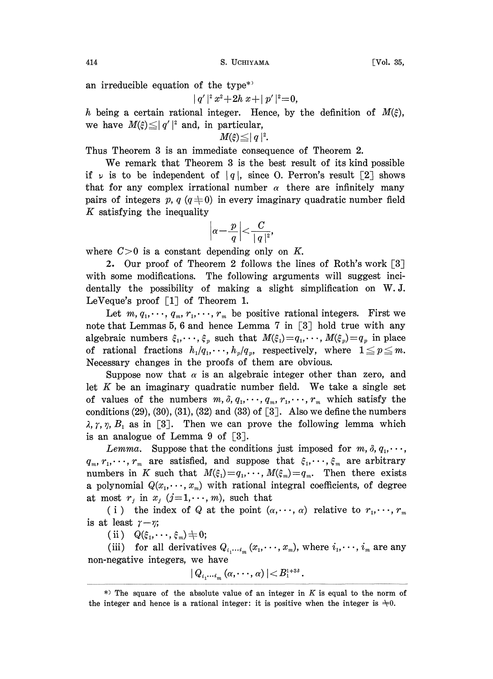414 S. UCHIYAMA [Vol. 35,

an irreducible equation of the type\*)

 $|q'|^2 x^2+2h x+|p'|^2=0,$ 

h being a certain rational integer. Hence, by the definition of  $M(\xi)$ , we have  $M(\xi) \leq |q'|^2$  and, in particular,

$$
M(\xi)\leq |q|^2.
$$

Thus Theorem 3 is an immediate consequence of Theorem 2.

We remark that Theorem 3 is the best result of its kind possible if  $\nu$  is to be independent of  $|q|$ , since O. Perron's result [2] shows that for any complex irrational number  $\alpha$  there are infinitely many pairs of integers p,  $q (q+0)$  in every imaginary quadratic number field  $K$  satisfying the inequality

$$
\left|\alpha-\frac{p}{q}\right| < \frac{C}{\mid q\mid^2},
$$

where  $C>0$  is a constant depending only on K.

2. Our proof of Theorem 2 follows the lines of Roth's work [3] with some modifications. The following arguments will suggest incidentally the possibility of making a slight simplification on W.J. LeVeque's proof  $\lceil 1 \rceil$  of Theorem 1.

Let  $m, q_1, \dots, q_m, r_1, \dots, r_m$  be positive rational integers. First we note that Lemmas 5, 6 and hence Lemma 7 in  $\lceil 3 \rceil$  hold true with any algebraic numbers  $\xi_1, \dots, \xi_p$  such that  $M(\xi_1)=q_1, \dots, M(\xi_p)=q_p$  in place of rational fractions  $h_1/q_1, \dots, h_p/q_p$ , respectively, where  $1 \leq p \leq m$ . Necessary changes in the proofs of them are obvious.

Suppose now that  $\alpha$  is an algebraic integer other than zero, and let  $K$  be an imaginary quadratic number field. We take a single set of values of the numbers  $m, \delta, q_1, \dots, q_m, r_1, \dots, r_m$  which satisfy the conditions  $(29)$ ,  $(30)$ ,  $(31)$ ,  $(32)$  and  $(33)$  of  $\lceil 3 \rceil$ . Also we define the numbers  $\lambda$ ,  $\gamma$ ,  $\eta$ ,  $B_1$  as in [3]. Then we can prove the following lemma which is an analogue of Lemma 9 of  $\lceil 3 \rceil$ .

Lemma. Suppose that the conditions just imposed for  $m, \delta, q_1, \dots,$  $q_m, r_1, \dots, r_m$  are satisfied, and suppose that  $\xi_1, \dots, \xi_m$  are arbitrary numbers in K such that  $M(\xi_1)=q_1,\dots, M(\xi_m)=q_m$ . Then there exists a polynomial  $Q(x_1, \dots, x_m)$  with rational integral coefficients, of degree at most  $r_j$  in  $x_j$  (j=1,..., m), such that

(i) the index of Q at the point  $(\alpha, \dots, \alpha)$  relative to  $r_1, \dots, r_m$ is at least  $\gamma-\eta$ ;

(ii)  $Q(\xi_1,\dots,\xi_m) \neq 0;$ 

(iii) for all derivatives  $Q_{i_1\cdots i_m}(x_1,\cdots,x_m)$ , where  $i_1,\cdots,i_m$  are any non-negative integers, we have

$$
|Q_{i_1\cdots i_m}\left(\alpha,\cdots,\alpha\right)|
$$

<sup>\*)</sup> The square of the absolute value of an integer in K is equal to the norm of the integer and hence is a rational integer: it is positive when the integer is  $\pm 0$ .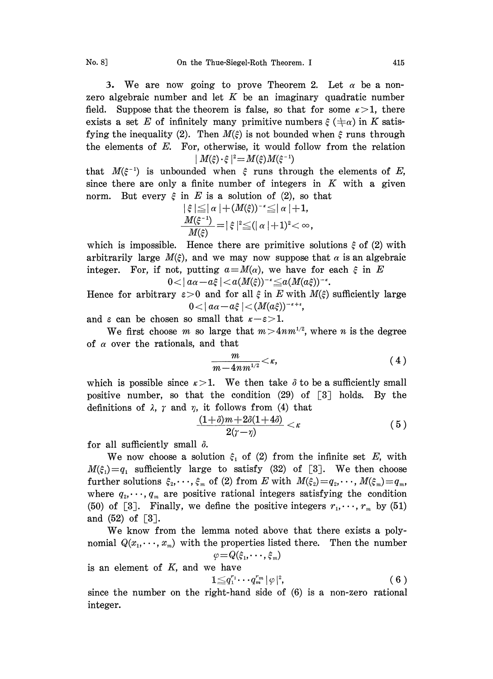3. We are now going to prove Theorem 2. Let  $\alpha$  be a nonzero algebraic number and let  $K$  be an imaginary quadratic number field. Suppose that the theorem is false, so that for some  $\kappa > 1$ , there exists a set E of infinitely many primitive numbers  $\xi$  ( $\pm \alpha$ ) in K satisfying the inequality (2). Then  $M(\xi)$  is not bounded when  $\xi$  runs through the elements of E. For, otherwise, it would follow from the relation

 $|M(\xi) \cdot \xi|^2 = M(\xi)M(\xi^{-1})$ <br>that  $M(\xi^{-1})$  is unbounded when  $\xi$  runs through the elements of  $E$ , since there are only a finite number of integers in  $K$  with a given norm. But every  $\xi$  in E is a solution of (2), so that

$$
\begin{aligned} \n|\xi| &\leq |\alpha| + (M(\xi))^{-\kappa} \leq |\alpha| + 1, \\
\frac{M(\xi^{-1})}{M(\xi)} &= |\xi|^2 \leq (|\alpha| + 1)^2 < \infty,\n\end{aligned}
$$

which is impossible. Hence there are primitive solutions  $\xi$  of (2) with arbitrarily large  $M(\xi)$ , and we may now suppose that  $\alpha$  is an algebraic integer. For, if not, putting  $a=M(\alpha)$ , we have for each  $\xi$  in E  $0<|a\alpha-a\xi|$ 

Hence for arbitrary  $\varepsilon > 0$  and for all  $\xi$  in E with  $M(\xi)$  sufficiently large  $0 < |a\alpha - a\xi| < (M(a\xi))^{-\kappa + \epsilon},$ 

and  $\varepsilon$  can be chosen so small that  $\kappa - \varepsilon > 1$ .

We first choose m so large that  $m>4nm^{1/2}$ , where n is the degree of  $\alpha$  over the rationals, and that

$$
\frac{m}{m-4nm^{1/2}}<\kappa,\qquad \qquad (4)
$$

which is possible since  $\kappa > 1$ . We then take  $\delta$  to be a sufficiently small positive number, so that the condition  $(29)$  of  $\lceil 3 \rceil$  holds. By the definitions of  $\lambda$ ,  $\gamma$  and  $\eta$ , it follows from (4) that

$$
\frac{(1+\delta)m+2\delta(1+4\delta)}{2(\gamma-\eta)}<\kappa\qquad \qquad (5.)
$$

for all sufficiently small  $\delta$ .

We now choose a solution  $\xi_1$  of (2) from the infinite set E, with  $M(\xi_1)=q_1$  sufficiently large to satisfy (32) of [3]. We then choose further solutions  $\xi_2,\dots,\xi_m$  of (2) from E with  $M(\xi_2)=q_2,\dots,M(\xi_m)=q_m$ , where  $q_2, \dots, q_m$  are positive rational integers satisfying the condition (50) of [3]. Finally, we define the positive integers  $r_1, \dots, r_m$  by (51) and  $(52)$  of  $\lceil 3 \rceil$ .

We know from the lemma noted above that there exists <sup>a</sup> polynomial  $Q(x_1, \dots, x_m)$  with the properties listed there. Then the number  $\varphi = Q(\xi_1, \dots, \xi_m)$ 

is an element of  $K$ , and we have

$$
1{\leqq}q_1^{r_1}\cdots q_m^{r_m}{\mid}\varphi {\mid}^2,\hspace{2cm} (6\hspace{0.2cm})
$$

since the number on the right-hand side of (6) is a non-zero rational integer.